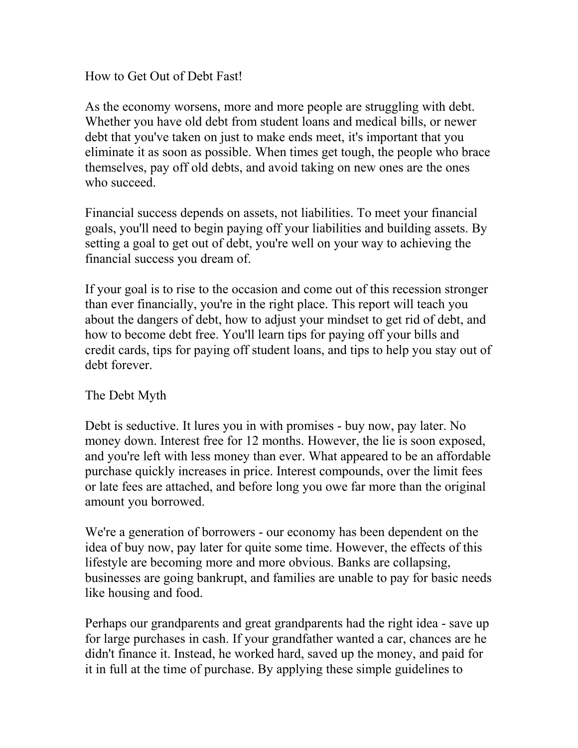How to Get Out of Debt Fast!

As the economy worsens, more and more people are struggling with debt. Whether you have old debt from student loans and medical bills, or newer debt that you've taken on just to make ends meet, it's important that you eliminate it as soon as possible. When times get tough, the people who brace themselves, pay off old debts, and avoid taking on new ones are the ones who succeed.

Financial success depends on assets, not liabilities. To meet your financial goals, you'll need to begin paying off your liabilities and building assets. By setting a goal to get out of debt, you're well on your way to achieving the financial success you dream of.

If your goal is to rise to the occasion and come out of this recession stronger than ever financially, you're in the right place. This report will teach you about the dangers of debt, how to adjust your mindset to get rid of debt, and how to become debt free. You'll learn tips for paying off your bills and credit cards, tips for paying off student loans, and tips to help you stay out of debt forever

## The Debt Myth

Debt is seductive. It lures you in with promises - buy now, pay later. No money down. Interest free for 12 months. However, the lie is soon exposed, and you're left with less money than ever. What appeared to be an affordable purchase quickly increases in price. Interest compounds, over the limit fees or late fees are attached, and before long you owe far more than the original amount you borrowed.

We're a generation of borrowers - our economy has been dependent on the idea of buy now, pay later for quite some time. However, the effects of this lifestyle are becoming more and more obvious. Banks are collapsing, businesses are going bankrupt, and families are unable to pay for basic needs like housing and food.

Perhaps our grandparents and great grandparents had the right idea - save up for large purchases in cash. If your grandfather wanted a car, chances are he didn't finance it. Instead, he worked hard, saved up the money, and paid for it in full at the time of purchase. By applying these simple guidelines to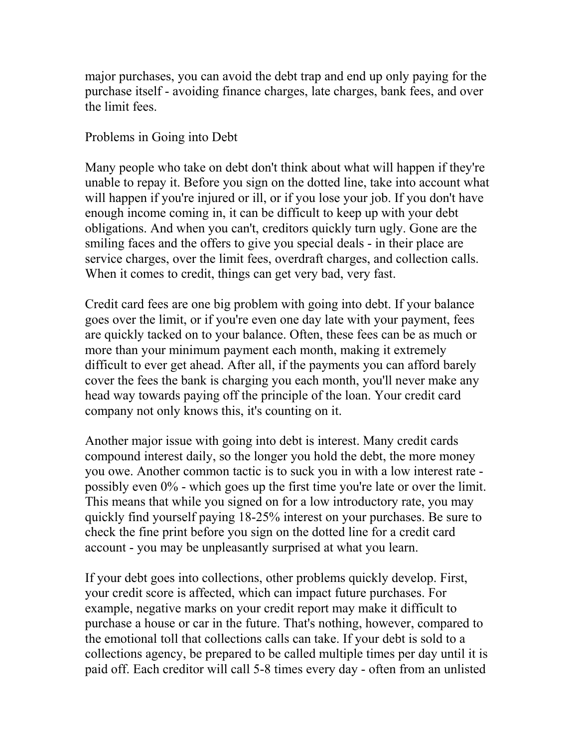major purchases, you can avoid the debt trap and end up only paying for the purchase itself - avoiding finance charges, late charges, bank fees, and over the limit fees.

Problems in Going into Debt

Many people who take on debt don't think about what will happen if they're unable to repay it. Before you sign on the dotted line, take into account what will happen if you're injured or ill, or if you lose your job. If you don't have enough income coming in, it can be difficult to keep up with your debt obligations. And when you can't, creditors quickly turn ugly. Gone are the smiling faces and the offers to give you special deals - in their place are service charges, over the limit fees, overdraft charges, and collection calls. When it comes to credit, things can get very bad, very fast.

Credit card fees are one big problem with going into debt. If your balance goes over the limit, or if you're even one day late with your payment, fees are quickly tacked on to your balance. Often, these fees can be as much or more than your minimum payment each month, making it extremely difficult to ever get ahead. After all, if the payments you can afford barely cover the fees the bank is charging you each month, you'll never make any head way towards paying off the principle of the loan. Your credit card company not only knows this, it's counting on it.

Another major issue with going into debt is interest. Many credit cards compound interest daily, so the longer you hold the debt, the more money you owe. Another common tactic is to suck you in with a low interest rate possibly even 0% - which goes up the first time you're late or over the limit. This means that while you signed on for a low introductory rate, you may quickly find yourself paying 18-25% interest on your purchases. Be sure to check the fine print before you sign on the dotted line for a credit card account - you may be unpleasantly surprised at what you learn.

If your debt goes into collections, other problems quickly develop. First, your credit score is affected, which can impact future purchases. For example, negative marks on your credit report may make it difficult to purchase a house or car in the future. That's nothing, however, compared to the emotional toll that collections calls can take. If your debt is sold to a collections agency, be prepared to be called multiple times per day until it is paid off. Each creditor will call 5-8 times every day - often from an unlisted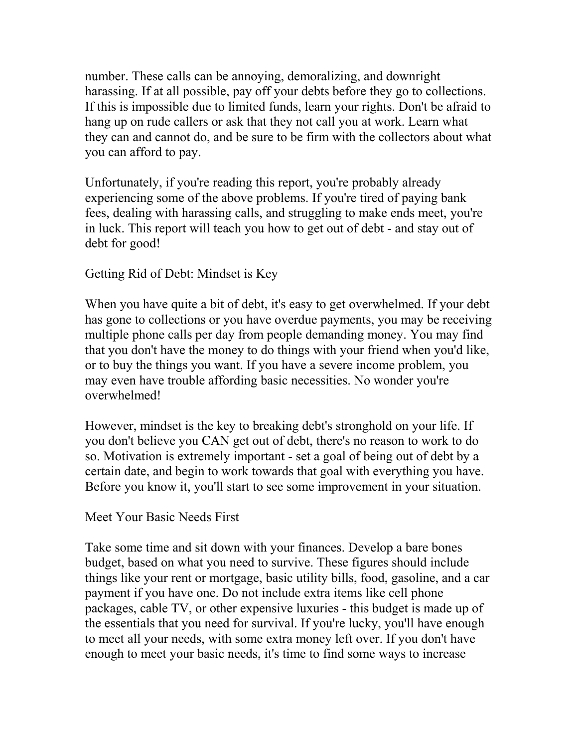number. These calls can be annoying, demoralizing, and downright harassing. If at all possible, pay off your debts before they go to collections. If this is impossible due to limited funds, learn your rights. Don't be afraid to hang up on rude callers or ask that they not call you at work. Learn what they can and cannot do, and be sure to be firm with the collectors about what you can afford to pay.

Unfortunately, if you're reading this report, you're probably already experiencing some of the above problems. If you're tired of paying bank fees, dealing with harassing calls, and struggling to make ends meet, you're in luck. This report will teach you how to get out of debt - and stay out of debt for good!

# Getting Rid of Debt: Mindset is Key

When you have quite a bit of debt, it's easy to get overwhelmed. If your debt has gone to collections or you have overdue payments, you may be receiving multiple phone calls per day from people demanding money. You may find that you don't have the money to do things with your friend when you'd like, or to buy the things you want. If you have a severe income problem, you may even have trouble affording basic necessities. No wonder you're overwhelmed!

However, mindset is the key to breaking debt's stronghold on your life. If you don't believe you CAN get out of debt, there's no reason to work to do so. Motivation is extremely important - set a goal of being out of debt by a certain date, and begin to work towards that goal with everything you have. Before you know it, you'll start to see some improvement in your situation.

## Meet Your Basic Needs First

Take some time and sit down with your finances. Develop a bare bones budget, based on what you need to survive. These figures should include things like your rent or mortgage, basic utility bills, food, gasoline, and a car payment if you have one. Do not include extra items like cell phone packages, cable TV, or other expensive luxuries - this budget is made up of the essentials that you need for survival. If you're lucky, you'll have enough to meet all your needs, with some extra money left over. If you don't have enough to meet your basic needs, it's time to find some ways to increase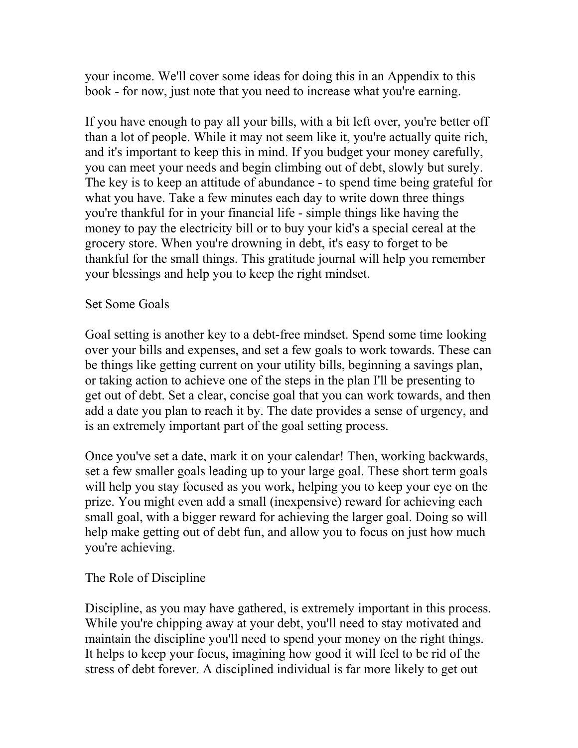your income. We'll cover some ideas for doing this in an Appendix to this book - for now, just note that you need to increase what you're earning.

If you have enough to pay all your bills, with a bit left over, you're better off than a lot of people. While it may not seem like it, you're actually quite rich, and it's important to keep this in mind. If you budget your money carefully, you can meet your needs and begin climbing out of debt, slowly but surely. The key is to keep an attitude of abundance - to spend time being grateful for what you have. Take a few minutes each day to write down three things you're thankful for in your financial life - simple things like having the money to pay the electricity bill or to buy your kid's a special cereal at the grocery store. When you're drowning in debt, it's easy to forget to be thankful for the small things. This gratitude journal will help you remember your blessings and help you to keep the right mindset.

### Set Some Goals

Goal setting is another key to a debt-free mindset. Spend some time looking over your bills and expenses, and set a few goals to work towards. These can be things like getting current on your utility bills, beginning a savings plan, or taking action to achieve one of the steps in the plan I'll be presenting to get out of debt. Set a clear, concise goal that you can work towards, and then add a date you plan to reach it by. The date provides a sense of urgency, and is an extremely important part of the goal setting process.

Once you've set a date, mark it on your calendar! Then, working backwards, set a few smaller goals leading up to your large goal. These short term goals will help you stay focused as you work, helping you to keep your eye on the prize. You might even add a small (inexpensive) reward for achieving each small goal, with a bigger reward for achieving the larger goal. Doing so will help make getting out of debt fun, and allow you to focus on just how much you're achieving.

## The Role of Discipline

Discipline, as you may have gathered, is extremely important in this process. While you're chipping away at your debt, you'll need to stay motivated and maintain the discipline you'll need to spend your money on the right things. It helps to keep your focus, imagining how good it will feel to be rid of the stress of debt forever. A disciplined individual is far more likely to get out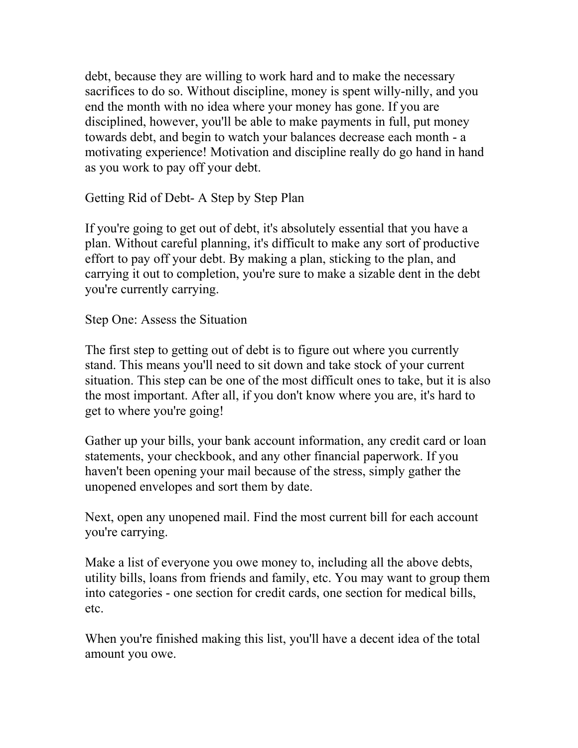debt, because they are willing to work hard and to make the necessary sacrifices to do so. Without discipline, money is spent willy-nilly, and you end the month with no idea where your money has gone. If you are disciplined, however, you'll be able to make payments in full, put money towards debt, and begin to watch your balances decrease each month - a motivating experience! Motivation and discipline really do go hand in hand as you work to pay off your debt.

Getting Rid of Debt- A Step by Step Plan

If you're going to get out of debt, it's absolutely essential that you have a plan. Without careful planning, it's difficult to make any sort of productive effort to pay off your debt. By making a plan, sticking to the plan, and carrying it out to completion, you're sure to make a sizable dent in the debt you're currently carrying.

Step One: Assess the Situation

The first step to getting out of debt is to figure out where you currently stand. This means you'll need to sit down and take stock of your current situation. This step can be one of the most difficult ones to take, but it is also the most important. After all, if you don't know where you are, it's hard to get to where you're going!

Gather up your bills, your bank account information, any credit card or loan statements, your checkbook, and any other financial paperwork. If you haven't been opening your mail because of the stress, simply gather the unopened envelopes and sort them by date.

Next, open any unopened mail. Find the most current bill for each account you're carrying.

Make a list of everyone you owe money to, including all the above debts, utility bills, loans from friends and family, etc. You may want to group them into categories - one section for credit cards, one section for medical bills, etc.

When you're finished making this list, you'll have a decent idea of the total amount you owe.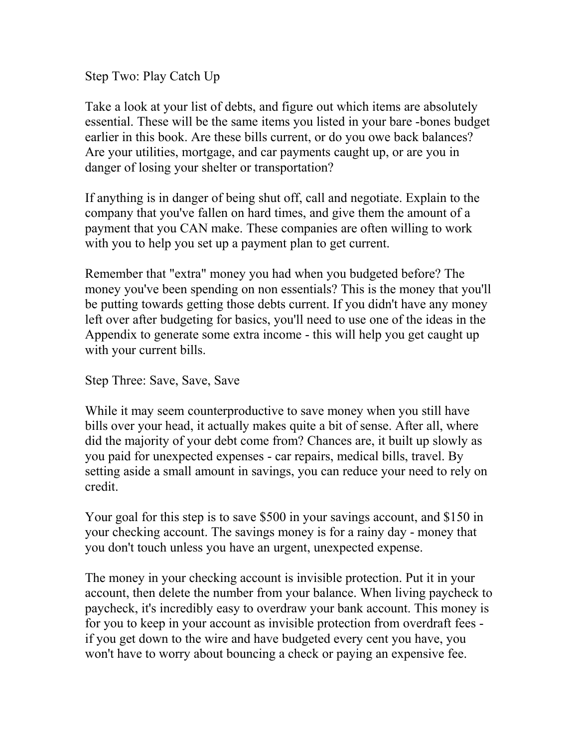Step Two: Play Catch Up

Take a look at your list of debts, and figure out which items are absolutely essential. These will be the same items you listed in your bare -bones budget earlier in this book. Are these bills current, or do you owe back balances? Are your utilities, mortgage, and car payments caught up, or are you in danger of losing your shelter or transportation?

If anything is in danger of being shut off, call and negotiate. Explain to the company that you've fallen on hard times, and give them the amount of a payment that you CAN make. These companies are often willing to work with you to help you set up a payment plan to get current.

Remember that "extra" money you had when you budgeted before? The money you've been spending on non essentials? This is the money that you'll be putting towards getting those debts current. If you didn't have any money left over after budgeting for basics, you'll need to use one of the ideas in the Appendix to generate some extra income - this will help you get caught up with your current bills.

Step Three: Save, Save, Save

While it may seem counterproductive to save money when you still have bills over your head, it actually makes quite a bit of sense. After all, where did the majority of your debt come from? Chances are, it built up slowly as you paid for unexpected expenses - car repairs, medical bills, travel. By setting aside a small amount in savings, you can reduce your need to rely on credit.

Your goal for this step is to save \$500 in your savings account, and \$150 in your checking account. The savings money is for a rainy day - money that you don't touch unless you have an urgent, unexpected expense.

The money in your checking account is invisible protection. Put it in your account, then delete the number from your balance. When living paycheck to paycheck, it's incredibly easy to overdraw your bank account. This money is for you to keep in your account as invisible protection from overdraft fees if you get down to the wire and have budgeted every cent you have, you won't have to worry about bouncing a check or paying an expensive fee.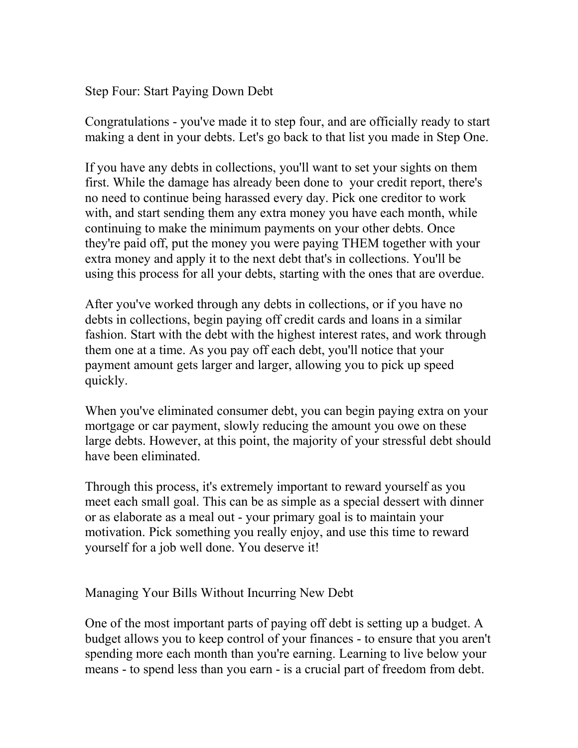Step Four: Start Paying Down Debt

Congratulations - you've made it to step four, and are officially ready to start making a dent in your debts. Let's go back to that list you made in Step One.

If you have any debts in collections, you'll want to set your sights on them first. While the damage has already been done to your credit report, there's no need to continue being harassed every day. Pick one creditor to work with, and start sending them any extra money you have each month, while continuing to make the minimum payments on your other debts. Once they're paid off, put the money you were paying THEM together with your extra money and apply it to the next debt that's in collections. You'll be using this process for all your debts, starting with the ones that are overdue.

After you've worked through any debts in collections, or if you have no debts in collections, begin paying off credit cards and loans in a similar fashion. Start with the debt with the highest interest rates, and work through them one at a time. As you pay off each debt, you'll notice that your payment amount gets larger and larger, allowing you to pick up speed quickly.

When you've eliminated consumer debt, you can begin paying extra on your mortgage or car payment, slowly reducing the amount you owe on these large debts. However, at this point, the majority of your stressful debt should have been eliminated.

Through this process, it's extremely important to reward yourself as you meet each small goal. This can be as simple as a special dessert with dinner or as elaborate as a meal out - your primary goal is to maintain your motivation. Pick something you really enjoy, and use this time to reward yourself for a job well done. You deserve it!

Managing Your Bills Without Incurring New Debt

One of the most important parts of paying off debt is setting up a budget. A budget allows you to keep control of your finances - to ensure that you aren't spending more each month than you're earning. Learning to live below your means - to spend less than you earn - is a crucial part of freedom from debt.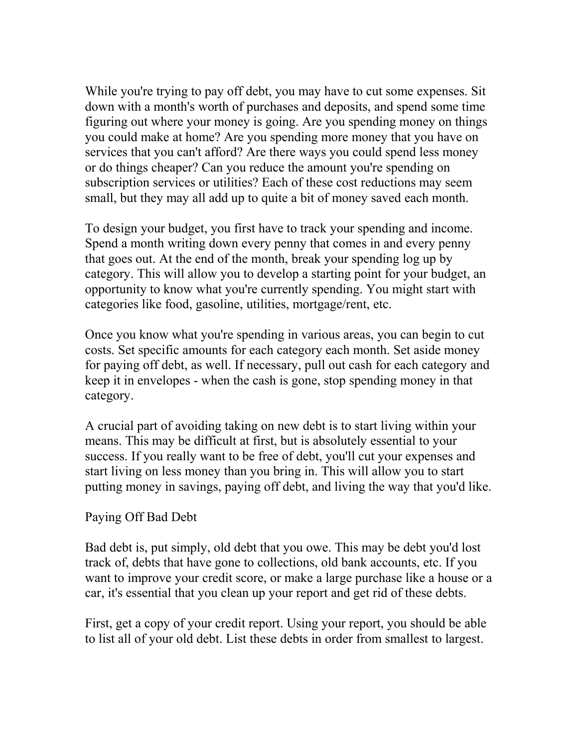While you're trying to pay off debt, you may have to cut some expenses. Sit down with a month's worth of purchases and deposits, and spend some time figuring out where your money is going. Are you spending money on things you could make at home? Are you spending more money that you have on services that you can't afford? Are there ways you could spend less money or do things cheaper? Can you reduce the amount you're spending on subscription services or utilities? Each of these cost reductions may seem small, but they may all add up to quite a bit of money saved each month.

To design your budget, you first have to track your spending and income. Spend a month writing down every penny that comes in and every penny that goes out. At the end of the month, break your spending log up by category. This will allow you to develop a starting point for your budget, an opportunity to know what you're currently spending. You might start with categories like food, gasoline, utilities, mortgage/rent, etc.

Once you know what you're spending in various areas, you can begin to cut costs. Set specific amounts for each category each month. Set aside money for paying off debt, as well. If necessary, pull out cash for each category and keep it in envelopes - when the cash is gone, stop spending money in that category.

A crucial part of avoiding taking on new debt is to start living within your means. This may be difficult at first, but is absolutely essential to your success. If you really want to be free of debt, you'll cut your expenses and start living on less money than you bring in. This will allow you to start putting money in savings, paying off debt, and living the way that you'd like.

#### Paying Off Bad Debt

Bad debt is, put simply, old debt that you owe. This may be debt you'd lost track of, debts that have gone to collections, old bank accounts, etc. If you want to improve your credit score, or make a large purchase like a house or a car, it's essential that you clean up your report and get rid of these debts.

First, get a copy of your credit report. Using your report, you should be able to list all of your old debt. List these debts in order from smallest to largest.